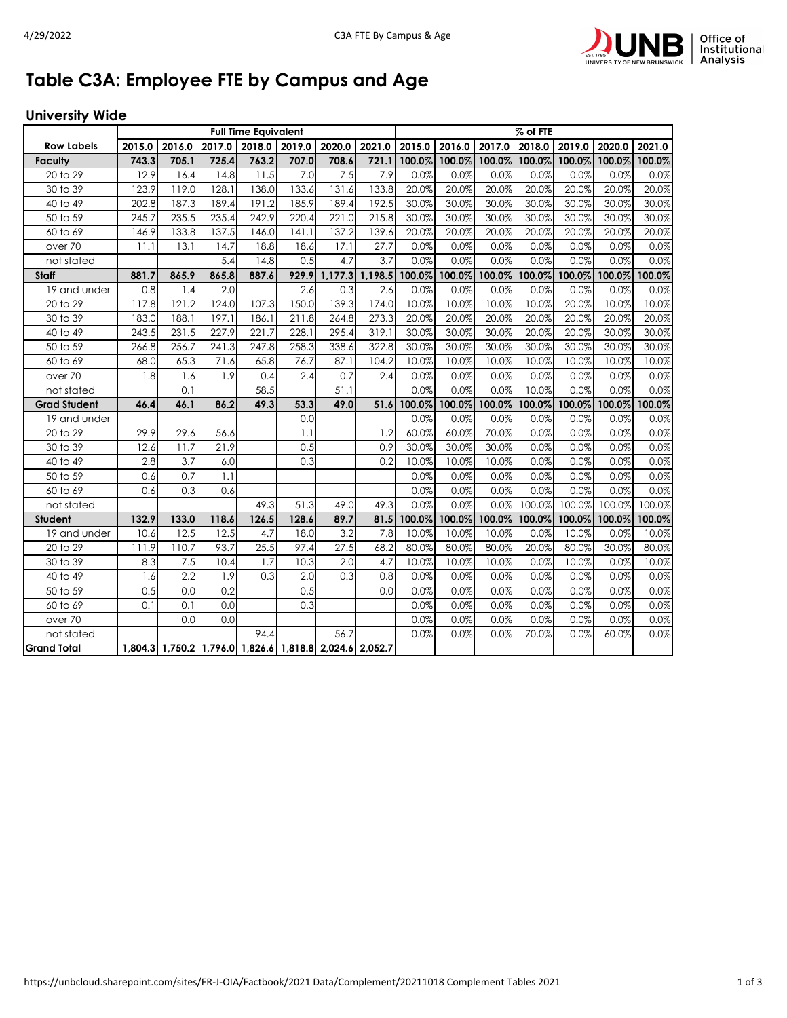

## **Table C3A: Employee FTE by Campus and Age**

## **University Wide**

|                     | <b>Full Time Equivalent</b> |        |                                                         |        |        |               |         |        | % of FTE |        |        |        |        |        |  |  |
|---------------------|-----------------------------|--------|---------------------------------------------------------|--------|--------|---------------|---------|--------|----------|--------|--------|--------|--------|--------|--|--|
| <b>Row Labels</b>   | 2015.0                      | 2016.0 | 2017.0                                                  | 2018.0 | 2019.0 | 2020.0        | 2021.0  | 2015.0 | 2016.0   | 2017.0 | 2018.0 | 2019.0 | 2020.0 | 2021.0 |  |  |
| <b>Faculty</b>      | 743.3                       | 705.1  | 725.4                                                   | 763.2  | 707.0  | 708.6         | 721.1   | 100.0% | 100.0%   | 100.0% | 100.0% | 100.0% | 100.0% | 100.0% |  |  |
| 20 to 29            | 12.9                        | 16.4   | 14.8                                                    | 11.5   | 7.0    | 7.5           | 7.9     | 0.0%   | 0.0%     | 0.0%   | 0.0%   | 0.0%   | 0.0%   | 0.0%   |  |  |
| 30 to 39            | 123.9                       | 119.0  | 128.1                                                   | 138.0  | 133.6  | 131.6         | 133.8   | 20.0%  | 20.0%    | 20.0%  | 20.0%  | 20.0%  | 20.0%  | 20.0%  |  |  |
| 40 to 49            | 202.8                       | 187.3  | 189.4                                                   | 191.2  | 185.9  | 189.4         | 192.5   | 30.0%  | 30.0%    | 30.0%  | 30.0%  | 30.0%  | 30.0%  | 30.0%  |  |  |
| 50 to 59            | 245.7                       | 235.5  | 235.4                                                   | 242.9  | 220.4  | 221.0         | 215.8   | 30.0%  | 30.0%    | 30.0%  | 30.0%  | 30.0%  | 30.0%  | 30.0%  |  |  |
| 60 to 69            | 146.9                       | 133.8  | 137.5                                                   | 146.0  | 141.1  | 137.2         | 139.6   | 20.0%  | 20.0%    | 20.0%  | 20.0%  | 20.0%  | 20.0%  | 20.0%  |  |  |
| over <sub>70</sub>  | 11.1                        | 13.1   | 14.7                                                    | 18.8   | 18.6   | 17.1          | 27.7    | 0.0%   | 0.0%     | 0.0%   | 0.0%   | 0.0%   | 0.0%   | 0.0%   |  |  |
| not stated          |                             |        | 5.4                                                     | 14.8   | 0.5    | 4.7           | 3.7     | 0.0%   | 0.0%     | 0.0%   | 0.0%   | 0.0%   | 0.0%   | 0.0%   |  |  |
| <b>Staff</b>        | 881.7                       | 865.9  | 865.8                                                   | 887.6  |        | 929.9 1,177.3 | 1,198.5 | 100.0% | 100.0%   | 100.0% | 100.0% | 100.0% | 100.0% | 100.0% |  |  |
| 19 and under        | 0.8                         | 1.4    | 2.0                                                     |        | 2.6    | 0.3           | 2.6     | 0.0%   | 0.0%     | 0.0%   | 0.0%   | 0.0%   | 0.0%   | 0.0%   |  |  |
| 20 to 29            | 117.8                       | 121.2  | 124.0                                                   | 107.3  | 150.0  | 139.3         | 174.0   | 10.0%  | 10.0%    | 10.0%  | 10.0%  | 20.0%  | 10.0%  | 10.0%  |  |  |
| 30 to 39            | 183.0                       | 188.1  | 197.1                                                   | 186.1  | 211.8  | 264.8         | 273.3   | 20.0%  | 20.0%    | 20.0%  | 20.0%  | 20.0%  | 20.0%  | 20.0%  |  |  |
| 40 to 49            | 243.5                       | 231.5  | 227.9                                                   | 221.7  | 228.1  | 295.4         | 319.1   | 30.0%  | 30.0%    | 30.0%  | 20.0%  | 20.0%  | 30.0%  | 30.0%  |  |  |
| 50 to 59            | 266.8                       | 256.7  | 241.3                                                   | 247.8  | 258.3  | 338.6         | 322.8   | 30.0%  | 30.0%    | 30.0%  | 30.0%  | 30.0%  | 30.0%  | 30.0%  |  |  |
| 60 to 69            | 68.0                        | 65.3   | 71.6                                                    | 65.8   | 76.7   | 87.1          | 104.2   | 10.0%  | 10.0%    | 10.0%  | 10.0%  | 10.0%  | 10.0%  | 10.0%  |  |  |
| over <sub>70</sub>  | 1.8                         | 1.6    | 1.9                                                     | 0.4    | 2.4    | 0.7           | 2.4     | 0.0%   | 0.0%     | 0.0%   | 0.0%   | 0.0%   | 0.0%   | 0.0%   |  |  |
| not stated          |                             | 0.1    |                                                         | 58.5   |        | 51.1          |         | 0.0%   | 0.0%     | 0.0%   | 10.0%  | 0.0%   | 0.0%   | 0.0%   |  |  |
| <b>Grad Student</b> | 46.4                        | 46.1   | 86.2                                                    | 49.3   | 53.3   | 49.0          | 51.6    | 100.0% | 100.0%   | 100.0% | 100.0% | 100.0% | 100.0% | 100.0% |  |  |
| 19 and under        |                             |        |                                                         |        | 0.0    |               |         | 0.0%   | 0.0%     | 0.0%   | 0.0%   | 0.0%   | 0.0%   | 0.0%   |  |  |
| 20 to 29            | 29.9                        | 29.6   | 56.6                                                    |        | 1.1    |               | 1.2     | 60.0%  | 60.0%    | 70.0%  | 0.0%   | 0.0%   | 0.0%   | 0.0%   |  |  |
| 30 to 39            | 12.6                        | 11.7   | 21.9                                                    |        | 0.5    |               | 0.9     | 30.0%  | 30.0%    | 30.0%  | 0.0%   | 0.0%   | 0.0%   | 0.0%   |  |  |
| 40 to 49            | 2.8                         | 3.7    | 6.0                                                     |        | 0.3    |               | 0.2     | 10.0%  | 10.0%    | 10.0%  | 0.0%   | 0.0%   | 0.0%   | 0.0%   |  |  |
| 50 to 59            | 0.6                         | 0.7    | 1.1                                                     |        |        |               |         | 0.0%   | 0.0%     | 0.0%   | 0.0%   | 0.0%   | 0.0%   | 0.0%   |  |  |
| 60 to 69            | 0.6                         | 0.3    | 0.6                                                     |        |        |               |         | 0.0%   | 0.0%     | 0.0%   | 0.0%   | 0.0%   | 0.0%   | 0.0%   |  |  |
| not stated          |                             |        |                                                         | 49.3   | 51.3   | 49.0          | 49.3    | 0.0%   | 0.0%     | 0.0%   | 100.0% | 100.0% | 100.0% | 100.0% |  |  |
| <b>Student</b>      | 132.9                       | 133.0  | 118.6                                                   | 126.5  | 128.6  | 89.7          | 81.5    | 100.0% | 100.0%   | 100.0% | 100.0% | 100.0% | 100.0% | 100.0% |  |  |
| 19 and under        | 10.6                        | 12.5   | 12.5                                                    | 4.7    | 18.0   | 3.2           | 7.8     | 10.0%  | 10.0%    | 10.0%  | 0.0%   | 10.0%  | 0.0%   | 10.0%  |  |  |
| 20 to 29            | 111.9                       | 110.7  | 93.7                                                    | 25.5   | 97.4   | 27.5          | 68.2    | 80.0%  | 80.0%    | 80.0%  | 20.0%  | 80.0%  | 30.0%  | 80.0%  |  |  |
| 30 to 39            | 8.3                         | 7.5    | 10.4                                                    | 1.7    | 10.3   | 2.0           | 4.7     | 10.0%  | 10.0%    | 10.0%  | 0.0%   | 10.0%  | 0.0%   | 10.0%  |  |  |
| 40 to 49            | 1.6                         | 2.2    | 1.9                                                     | 0.3    | 2.0    | 0.3           | 0.8     | 0.0%   | 0.0%     | 0.0%   | 0.0%   | 0.0%   | 0.0%   | 0.0%   |  |  |
| 50 to 59            | 0.5                         | 0.0    | 0.2                                                     |        | 0.5    |               | 0.0     | 0.0%   | 0.0%     | 0.0%   | 0.0%   | 0.0%   | 0.0%   | 0.0%   |  |  |
| 60 to 69            | 0.1                         | 0.1    | 0.0                                                     |        | 0.3    |               |         | 0.0%   | 0.0%     | 0.0%   | 0.0%   | 0.0%   | 0.0%   | 0.0%   |  |  |
| over 70             |                             | 0.0    | 0.0                                                     |        |        |               |         | 0.0%   | 0.0%     | 0.0%   | 0.0%   | 0.0%   | 0.0%   | 0.0%   |  |  |
| not stated          |                             |        |                                                         | 94.4   |        | 56.7          |         | 0.0%   | 0.0%     | 0.0%   | 70.0%  | 0.0%   | 60.0%  | 0.0%   |  |  |
| <b>Grand Total</b>  |                             |        | 1,804.3 1,750.2 1,796.0 1,826.6 1,818.8 2,024.6 2,052.7 |        |        |               |         |        |          |        |        |        |        |        |  |  |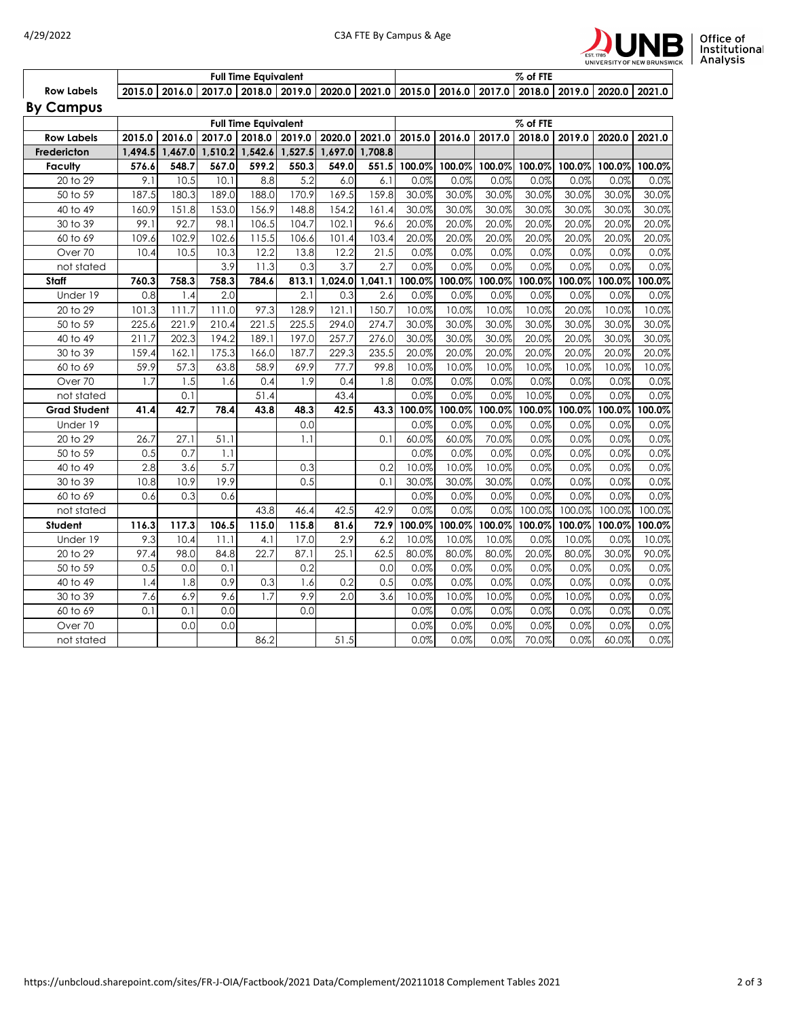



|                   | <b>Full Time Equivalent</b> |  |  |  |                                                                                                                             |  |  |  | % of FTE |  |  |  |  |  |  |
|-------------------|-----------------------------|--|--|--|-----------------------------------------------------------------------------------------------------------------------------|--|--|--|----------|--|--|--|--|--|--|
| <b>Row Labels</b> |                             |  |  |  | 2015.0   2016.0   2017.0   2018.0   2019.0   2020.0   2021.0   2015.0   2016.0   2017.0   2018.0   2019.0   2020.0   2021.0 |  |  |  |          |  |  |  |  |  |  |
| <b>By Campus</b>  |                             |  |  |  |                                                                                                                             |  |  |  |          |  |  |  |  |  |  |

|                     |         |        |        | <b>Full Time Equivalent</b> |        |                         | % of FTE |              |        |         |        |        |        |        |
|---------------------|---------|--------|--------|-----------------------------|--------|-------------------------|----------|--------------|--------|---------|--------|--------|--------|--------|
| <b>Row Labels</b>   | 2015.0  | 2016.0 | 2017.0 | 2018.0                      | 2019.0 | 2020.0                  | 2021.0   | 2015.0       | 2016.0 | 2017.0  | 2018.0 | 2019.0 | 2020.0 | 2021.0 |
| Fredericton         | 1,494.5 |        |        | 1,467.0 1,510.2 1,542.6     |        | 1,527.5 1,697.0 1,708.8 |          |              |        |         |        |        |        |        |
| <b>Faculty</b>      | 576.6   | 548.7  | 567.0  | 599.2                       | 550.3  | 549.0                   |          | 551.5 100.0% | 100.0% | 100.0%  | 100.0% | 100.0% | 100.0% | 100.0% |
| 20 to 29            | 9.1     | 10.5   | 10.1   | 8.8                         | 5.2    | 6.0                     | 6.1      | 0.0%         | 0.0%   | 0.0%    | 0.0%   | 0.0%   | 0.0%   | 0.0%   |
| 50 to 59            | 187.5   | 180.3  | 189.0  | 188.0                       | 170.9  | 169.5                   | 159.8    | 30.0%        | 30.0%  | 30.0%   | 30.0%  | 30.0%  | 30.0%  | 30.0%  |
| 40 to 49            | 160.9   | 151.8  | 153.0  | 156.9                       | 148.8  | 154.2                   | 161.4    | 30.0%        | 30.0%  | 30.0%   | 30.0%  | 30.0%  | 30.0%  | 30.0%  |
| 30 to 39            | 99.1    | 92.7   | 98.1   | 106.5                       | 104.7  | 102.1                   | 96.6     | 20.0%        | 20.0%  | 20.0%   | 20.0%  | 20.0%  | 20.0%  | 20.0%  |
| 60 to 69            | 109.6   | 102.9  | 102.6  | 115.5                       | 106.6  | 101.4                   | 103.4    | 20.0%        | 20.0%  | 20.0%   | 20.0%  | 20.0%  | 20.0%  | 20.0%  |
| Over 70             | 10.4    | 10.5   | 10.3   | 12.2                        | 13.8   | 12.2                    | 21.5     | 0.0%         | 0.0%   | 0.0%    | 0.0%   | 0.0%   | 0.0%   | 0.0%   |
| not stated          |         |        | 3.9    | 11.3                        | 0.3    | 3.7                     | 2.7      | 0.0%         | 0.0%   | $0.0\%$ | 0.0%   | 0.0%   | 0.0%   | 0.0%   |
| Staff               | 760.3   | 758.3  | 758.3  | 784.6                       | 813.1  | 1,024.0                 | 1,041.1  | 100.0%       | 100.0% | 100.0%  | 100.0% | 100.0% | 100.0% | 100.0% |
| Under 19            | 0.8     | 1.4    | 2.0    |                             | 2.1    | 0.3                     | 2.6      | 0.0%         | 0.0%   | 0.0%    | 0.0%   | 0.0%   | 0.0%   | 0.0%   |
| 20 to 29            | 101.3   | 111.7  | 111.0  | 97.3                        | 128.9  | 121.1                   | 150.7    | 10.0%        | 10.0%  | 10.0%   | 10.0%  | 20.0%  | 10.0%  | 10.0%  |
| 50 to 59            | 225.6   | 221.9  | 210.4  | 221.5                       | 225.5  | 294.0                   | 274.7    | 30.0%        | 30.0%  | 30.0%   | 30.0%  | 30.0%  | 30.0%  | 30.0%  |
| 40 to 49            | 211.7   | 202.3  | 194.2  | 189.1                       | 197.0  | 257.7                   | 276.0    | 30.0%        | 30.0%  | 30.0%   | 20.0%  | 20.0%  | 30.0%  | 30.0%  |
| 30 to 39            | 159.4   | 162.1  | 175.3  | 166.0                       | 187.7  | 229.3                   | 235.5    | 20.0%        | 20.0%  | 20.0%   | 20.0%  | 20.0%  | 20.0%  | 20.0%  |
| 60 to 69            | 59.9    | 57.3   | 63.8   | 58.9                        | 69.9   | 77.7                    | 99.8     | 10.0%        | 10.0%  | 10.0%   | 10.0%  | 10.0%  | 10.0%  | 10.0%  |
| Over 70             | 1.7     | 1.5    | 1.6    | 0.4                         | 1.9    | 0.4                     | 1.8      | 0.0%         | 0.0%   | 0.0%    | 0.0%   | 0.0%   | 0.0%   | 0.0%   |
| not stated          |         | 0.1    |        | 51.4                        |        | 43.4                    |          | 0.0%         | 0.0%   | 0.0%    | 10.0%  | 0.0%   | 0.0%   | 0.0%   |
| <b>Grad Student</b> | 41.4    | 42.7   | 78.4   | 43.8                        | 48.3   | 42.5                    | 43.3     | 100.0%       | 100.0% | 100.0%  | 100.0% | 100.0% | 100.0% | 100.0% |
| Under 19            |         |        |        |                             | 0.0    |                         |          | 0.0%         | 0.0%   | 0.0%    | 0.0%   | 0.0%   | 0.0%   | 0.0%   |
| 20 to 29            | 26.7    | 27.1   | 51.1   |                             | 1.1    |                         | 0.1      | 60.0%        | 60.0%  | 70.0%   | 0.0%   | 0.0%   | 0.0%   | 0.0%   |
| 50 to 59            | 0.5     | 0.7    | 1.1    |                             |        |                         |          | 0.0%         | 0.0%   | 0.0%    | 0.0%   | 0.0%   | 0.0%   | 0.0%   |
| 40 to 49            | 2.8     | 3.6    | 5.7    |                             | 0.3    |                         | 0.2      | 10.0%        | 10.0%  | 10.0%   | 0.0%   | 0.0%   | 0.0%   | 0.0%   |
| 30 to 39            | 10.8    | 10.9   | 19.9   |                             | 0.5    |                         | 0.1      | 30.0%        | 30.0%  | 30.0%   | 0.0%   | 0.0%   | 0.0%   | 0.0%   |
| 60 to 69            | 0.6     | 0.3    | 0.6    |                             |        |                         |          | 0.0%         | 0.0%   | 0.0%    | 0.0%   | 0.0%   | 0.0%   | 0.0%   |
| not stated          |         |        |        | 43.8                        | 46.4   | 42.5                    | 42.9     | 0.0%         | 0.0%   | 0.0%    | 100.0% | 100.0% | 100.0% | 100.0% |
| Student             | 116.3   | 117.3  | 106.5  | 115.0                       | 115.8  | 81.6                    | 72.9     | 100.0%       | 100.0% | 100.0%  | 100.0% | 100.0% | 100.0% | 100.0% |
| Under 19            | 9.3     | 10.4   | 11.1   | 4.1                         | 17.0   | 2.9                     | 6.2      | 10.0%        | 10.0%  | 10.0%   | 0.0%   | 10.0%  | 0.0%   | 10.0%  |
| 20 to 29            | 97.4    | 98.0   | 84.8   | 22.7                        | 87.1   | 25.1                    | 62.5     | 80.0%        | 80.0%  | 80.0%   | 20.0%  | 80.0%  | 30.0%  | 90.0%  |
| 50 to 59            | 0.5     | 0.0    | 0.1    |                             | 0.2    |                         | 0.0      | 0.0%         | 0.0%   | 0.0%    | 0.0%   | 0.0%   | 0.0%   | 0.0%   |
| 40 to 49            | 1.4     | 1.8    | 0.9    | 0.3                         | 1.6    | 0.2                     | 0.5      | 0.0%         | 0.0%   | 0.0%    | 0.0%   | 0.0%   | 0.0%   | 0.0%   |
| 30 to 39            | 7.6     | 6.9    | 9.6    | 1.7                         | 9.9    | 2.0                     | 3.6      | 10.0%        | 10.0%  | 10.0%   | 0.0%   | 10.0%  | 0.0%   | 0.0%   |
| 60 to 69            | 0.1     | 0.1    | 0.0    |                             | 0.0    |                         |          | 0.0%         | 0.0%   | 0.0%    | 0.0%   | 0.0%   | 0.0%   | 0.0%   |
| Over 70             |         | 0.0    | 0.0    |                             |        |                         |          | 0.0%         | 0.0%   | 0.0%    | 0.0%   | 0.0%   | 0.0%   | 0.0%   |
| not stated          |         |        |        | 86.2                        |        | $\overline{5}1.5$       |          | 0.0%         | 0.0%   | 0.0%    | 70.0%  | 0.0%   | 60.0%  | 0.0%   |